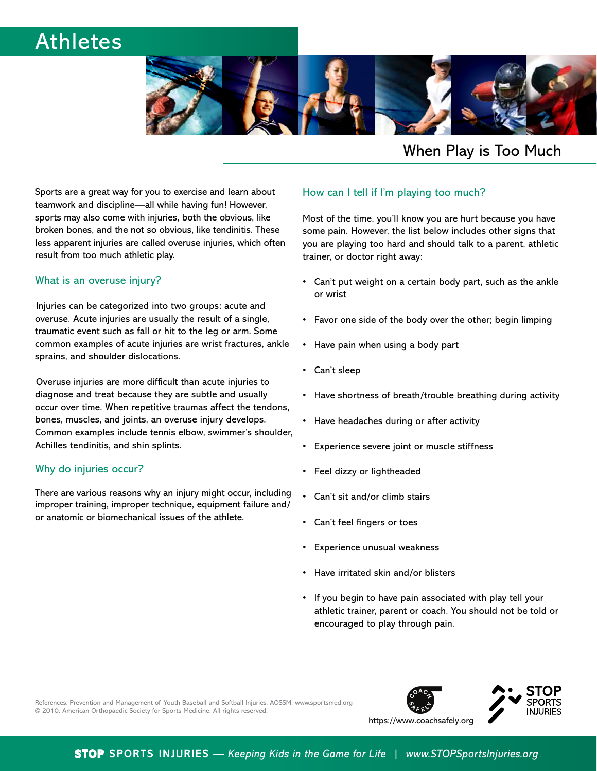# Athletes



## When Play is Too Much

Sports are a great way for you to exercise and learn about teamwork and discipline—all while having fun! However, sports may also come with injuries, both the obvious, like broken bones, and the not so obvious, like tendinitis. These less apparent injuries are called overuse injuries, which often result from too much athletic play.

### What is an overuse injury?

Injuries can be categorized into two groups: acute and overuse. Acute injuries are usually the result of a single, traumatic event such as fall or hit to the leg or arm. Some common examples of acute injuries are wrist fractures, ankle sprains, and shoulder dislocations.

Overuse injuries are more difficult than acute injuries to diagnose and treat because they are subtle and usually occur over time. When repetitive traumas affect the tendons, bones, muscles, and joints, an overuse injury develops. Common examples include tennis elbow, swimmer's shoulder, Achilles tendinitis, and shin splints.

### Why do injuries occur?

There are various reasons why an injury might occur, including improper training, improper technique, equipment failure and/ or anatomic or biomechanical issues of the athlete.

## How can I tell if I'm playing too much?

Most of the time, you'll know you are hurt because you have some pain. However, the list below includes other signs that you are playing too hard and should talk to a parent, athletic trainer, or doctor right away:

- Can't put weight on a certain body part, such as the ankle or wrist
- Favor one side of the body over the other; begin limping
- Have pain when using a body part
- $\cdot$  Can't sleep
- Have shortness of breath/trouble breathing during activity
- Have headaches during or after activity
- Experience severe joint or muscle stiffness
- Feel dizzy or lightheaded
- Can't sit and/or climb stairs
- Can't feel fingers or toes
- Experience unusual weakness
- Have irritated skin and/or blisters
- If you begin to have pain associated with play tell your athletic trainer, parent or coach. You should not be told or encouraged to play through pain.

References: Prevention and Management of Youth Baseball and Softball Injuries, AOSSM, www.sportsmed.org © 2010. American Orthopaedic Society for Sports Medicine. All rights reserved.